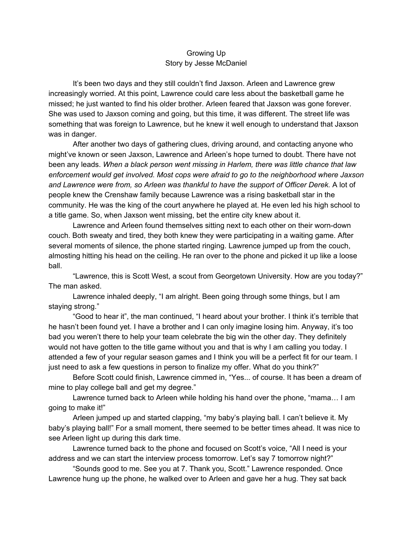## Growing Up Story by Jesse McDaniel

It's been two days and they still couldn't find Jaxson. Arleen and Lawrence grew increasingly worried. At this point, Lawrence could care less about the basketball game he missed; he just wanted to find his older brother. Arleen feared that Jaxson was gone forever. She was used to Jaxson coming and going, but this time, it was different. The street life was something that was foreign to Lawrence, but he knew it well enough to understand that Jaxson was in danger.

After another two days of gathering clues, driving around, and contacting anyone who might've known or seen Jaxson, Lawrence and Arleen's hope turned to doubt. There have not been any leads. *When a black person went missing in Harlem, there was little chance that law enforcement would get involved. Most cops were afraid to go to the neighborhood where Jaxson and Lawrence were from, so Arleen was thankful to have the support of Officer Derek.* A lot of people knew the Crenshaw family because Lawrence was a rising basketball star in the community. He was the king of the court anywhere he played at. He even led his high school to a title game. So, when Jaxson went missing, bet the entire city knew about it.

Lawrence and Arleen found themselves sitting next to each other on their worn-down couch. Both sweaty and tired, they both knew they were participating in a waiting game. After several moments of silence, the phone started ringing. Lawrence jumped up from the couch, almosting hitting his head on the ceiling. He ran over to the phone and picked it up like a loose ball.

"Lawrence, this is Scott West, a scout from Georgetown University. How are you today?" The man asked.

Lawrence inhaled deeply, "I am alright. Been going through some things, but I am staying strong."

"Good to hear it", the man continued, "I heard about your brother. I think it's terrible that he hasn't been found yet. I have a brother and I can only imagine losing him. Anyway, it's too bad you weren't there to help your team celebrate the big win the other day. They definitely would not have gotten to the title game without you and that is why I am calling you today. I attended a few of your regular season games and I think you will be a perfect fit for our team. I just need to ask a few questions in person to finalize my offer. What do you think?"

Before Scott could finish, Lawrence cimmed in, "Yes... of course. It has been a dream of mine to play college ball and get my degree."

Lawrence turned back to Arleen while holding his hand over the phone, "mama… I am going to make it!"

Arleen jumped up and started clapping, "my baby's playing ball. I can't believe it. My baby's playing ball!" For a small moment, there seemed to be better times ahead. It was nice to see Arleen light up during this dark time.

Lawrence turned back to the phone and focused on Scott's voice, "All I need is your address and we can start the interview process tomorrow. Let's say 7 tomorrow night?"

"Sounds good to me. See you at 7. Thank you, Scott." Lawrence responded. Once Lawrence hung up the phone, he walked over to Arleen and gave her a hug. They sat back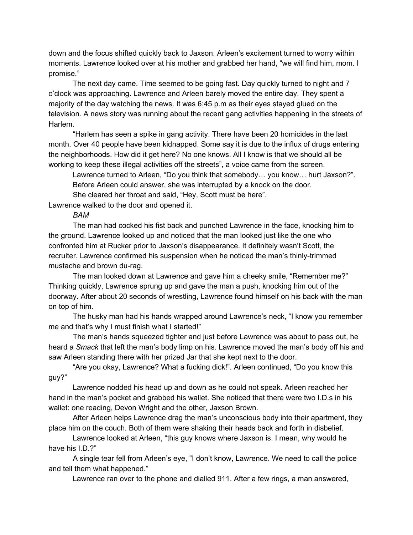down and the focus shifted quickly back to Jaxson. Arleen's excitement turned to worry within moments. Lawrence looked over at his mother and grabbed her hand, "we will find him, mom. I promise."

The next day came. Time seemed to be going fast. Day quickly turned to night and 7 o'clock was approaching. Lawrence and Arleen barely moved the entire day. They spent a majority of the day watching the news. It was 6:45 p.m as their eyes stayed glued on the television. A news story was running about the recent gang activities happening in the streets of Harlem.

"Harlem has seen a spike in gang activity. There have been 20 homicides in the last month. Over 40 people have been kidnapped. Some say it is due to the influx of drugs entering the neighborhoods. How did it get here? No one knows. All I know is that we should all be working to keep these illegal activities off the streets", a voice came from the screen.

Lawrence turned to Arleen, "Do you think that somebody… you know… hurt Jaxson?". Before Arleen could answer, she was interrupted by a knock on the door.

She cleared her throat and said, "Hey, Scott must be here".

Lawrence walked to the door and opened it.

## *BAM*

The man had cocked his fist back and punched Lawrence in the face, knocking him to the ground. Lawrence looked up and noticed that the man looked just like the one who confronted him at Rucker prior to Jaxson's disappearance. It definitely wasn't Scott, the recruiter. Lawrence confirmed his suspension when he noticed the man's thinly-trimmed mustache and brown du-rag.

The man looked down at Lawrence and gave him a cheeky smile, "Remember me?" Thinking quickly, Lawrence sprung up and gave the man a push, knocking him out of the doorway. After about 20 seconds of wrestling, Lawrence found himself on his back with the man on top of him.

The husky man had his hands wrapped around Lawrence's neck, "I know you remember me and that's why I must finish what I started!"

The man's hands squeezed tighter and just before Lawrence was about to pass out, he heard a *Smack* that left the man's body limp on his. Lawrence moved the man's body off his and saw Arleen standing there with her prized Jar that she kept next to the door.

"Are you okay, Lawrence? What a fucking dick!". Arleen continued, "Do you know this guy?"

Lawrence nodded his head up and down as he could not speak. Arleen reached her hand in the man's pocket and grabbed his wallet. She noticed that there were two I.D.s in his wallet: one reading, Devon Wright and the other, Jaxson Brown.

After Arleen helps Lawrence drag the man's unconscious body into their apartment, they place him on the couch. Both of them were shaking their heads back and forth in disbelief.

Lawrence looked at Arleen, "this guy knows where Jaxson is. I mean, why would he have his I.D.?"

A single tear fell from Arleen's eye, "I don't know, Lawrence. We need to call the police and tell them what happened."

Lawrence ran over to the phone and dialled 911. After a few rings, a man answered,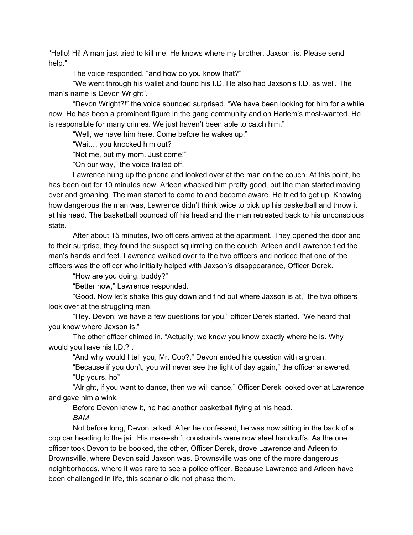"Hello! Hi! A man just tried to kill me. He knows where my brother, Jaxson, is. Please send help."

The voice responded, "and how do you know that?"

"We went through his wallet and found his I.D. He also had Jaxson's I.D. as well. The man's name is Devon Wright".

"Devon Wright?!" the voice sounded surprised. "We have been looking for him for a while now. He has been a prominent figure in the gang community and on Harlem's most-wanted. He is responsible for many crimes. We just haven't been able to catch him."

"Well, we have him here. Come before he wakes up."

"Wait… you knocked him out?

"Not me, but my mom. Just come!"

"On our way," the voice trailed off.

Lawrence hung up the phone and looked over at the man on the couch. At this point, he has been out for 10 minutes now. Arleen whacked him pretty good, but the man started moving over and groaning. The man started to come to and become aware. He tried to get up. Knowing how dangerous the man was, Lawrence didn't think twice to pick up his basketball and throw it at his head. The basketball bounced off his head and the man retreated back to his unconscious state.

After about 15 minutes, two officers arrived at the apartment. They opened the door and to their surprise, they found the suspect squirming on the couch. Arleen and Lawrence tied the man's hands and feet. Lawrence walked over to the two officers and noticed that one of the officers was the officer who initially helped with Jaxson's disappearance, Officer Derek.

"How are you doing, buddy?"

"Better now," Lawrence responded.

"Good. Now let's shake this guy down and find out where Jaxson is at," the two officers look over at the struggling man.

"Hey. Devon, we have a few questions for you," officer Derek started. "We heard that you know where Jaxson is."

The other officer chimed in, "Actually, we know you know exactly where he is. Why would you have his I.D.?".

"And why would I tell you, Mr. Cop?," Devon ended his question with a groan.

"Because if you don't, you will never see the light of day again," the officer answered. "Up yours, ho"

"Alright, if you want to dance, then we will dance," Officer Derek looked over at Lawrence and gave him a wink.

Before Devon knew it, he had another basketball flying at his head.

*BAM*

Not before long, Devon talked. After he confessed, he was now sitting in the back of a cop car heading to the jail. His make-shift constraints were now steel handcuffs. As the one officer took Devon to be booked, the other, Officer Derek, drove Lawrence and Arleen to Brownsville, where Devon said Jaxson was. Brownsville was one of the more dangerous neighborhoods, where it was rare to see a police officer. Because Lawrence and Arleen have been challenged in life, this scenario did not phase them.